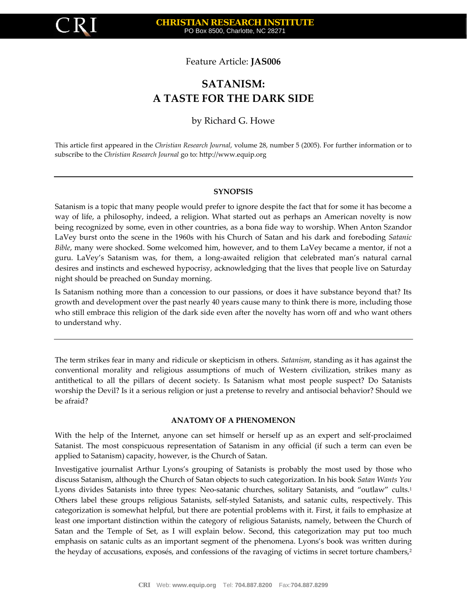

Feature Article: **JAS006**

# **SATANISM: A TASTE FOR THE DARK SIDE**

# by Richard G. Howe

This article first appeared in the *Christian Research Journal*, volume 28, number 5 (2005). For further information or to subscribe to the *Christian Research Journal* go to: [http://www.equip.org](http://www.equip.org/)

# **SYNOPSIS**

Satanism is a topic that many people would prefer to ignore despite the fact that for some it has become a way of life, a philosophy, indeed, a religion. What started out as perhaps an American novelty is now being recognized by some, even in other countries, as a bona fide way to worship. When Anton Szandor LaVey burst onto the scene in the 1960s with his Church of Satan and his dark and foreboding *Satanic Bible*, many were shocked. Some welcomed him, however, and to them LaVey became a mentor, if not a guru. LaVey's Satanism was, for them, a long‐awaited religion that celebrated man's natural carnal desires and instincts and eschewed hypocrisy, acknowledging that the lives that people live on Saturday night should be preached on Sunday morning.

Is Satanism nothing more than a concession to our passions, or does it have substance beyond that? Its growth and development over the past nearly 40 years cause many to think there is more, including those who still embrace this religion of the dark side even after the novelty has worn off and who want others to understand why.

The term strikes fear in many and ridicule or skepticism in others. *Satanism*, standing as it has against the conventional morality and religious assumptions of much of Western civilization, strikes many as antithetical to all the pillars of decent society. Is Satanism what most people suspect? Do Satanists worship the Devil? Is it a serious religion or just a pretense to revelry and antisocial behavior? Should we be afraid?

#### **ANATOMY OF A PHENOMENON**

With the help of the Internet, anyone can set himself or herself up as an expert and self-proclaimed Satanist. The most conspicuous representation of Satanism in any official (if such a term can even be applied to Satanism) capacity, however, is the Church of Satan.

Investigative journalist Arthur Lyons's grouping of Satanists is probably the most used by those who discuss Satanism, although the Church of Satan objects to such categorization. In his book *Satan Wants You* Lyons divides Satanists into three types: Neo-satanic churches, solitary Satanists, and "outlaw" cults.<sup>1</sup> Others label these groups religious Satanists, self‐styled Satanists, and satanic cults, respectively. This categorization is somewhat helpful, but there are potential problems with it. First, it fails to emphasize at least one important distinction within the category of religious Satanists, namely, between the Church of Satan and the Temple of Set, as I will explain below. Second, this categorization may put too much emphasis on satanic cults as an important segment of the phenomena. Lyons's book was written during the heyday of accusations, exposés, and confessions of the ravaging of victims in secret torture chambers,<sup>2</sup>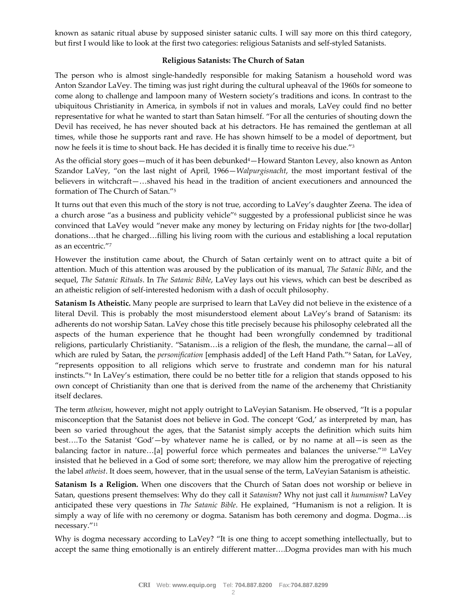known as satanic ritual abuse by supposed sinister satanic cults. I will say more on this third category, but first I would like to look at the first two categories: religious Satanists and self‐styled Satanists.

### **Religious Satanists: The Church of Satan**

The person who is almost single‐handedly responsible for making Satanism a household word was Anton Szandor LaVey. The timing was just right during the cultural upheaval of the 1960s for someone to come along to challenge and lampoon many of Western society's traditions and icons. In contrast to the ubiquitous Christianity in America, in symbols if not in values and morals, LaVey could find no better representative for what he wanted to start than Satan himself. "For all the centuries of shouting down the Devil has received, he has never shouted back at his detractors. He has remained the gentleman at all times, while those he supports rant and rave. He has shown himself to be a model of deportment, but now he feels it is time to shout back. He has decided it is finally time to receive his due."3

As the official story goes—much of it has been debunked<sup>4</sup>—Howard Stanton Levey, also known as Anton Szandor LaVey, "on the last night of April, 1966—*Walpurgisnacht*, the most important festival of the believers in witchcraft—…shaved his head in the tradition of ancient executioners and announced the formation of The Church of Satan."5

It turns out that even this much of the story is not true, according to LaVey's daughter Zeena. The idea of a church arose "as a business and publicity vehicle"6 suggested by a professional publicist since he was convinced that LaVey would "never make any money by lecturing on Friday nights for [the two-dollar] donations…that he charged…filling his living room with the curious and establishing a local reputation as an eccentric."7

However the institution came about, the Church of Satan certainly went on to attract quite a bit of attention. Much of this attention was aroused by the publication of its manual, *The Satanic Bible*, and the sequel, *The Satanic Rituals*. In *The Satanic Bible*, LaVey lays out his views, which can best be described as an atheistic religion of self‐interested hedonism with a dash of occult philosophy.

**Satanism Is Atheistic.** Many people are surprised to learn that LaVey did not believe in the existence of a literal Devil. This is probably the most misunderstood element about LaVey's brand of Satanism: its adherents do not worship Satan. LaVey chose this title precisely because his philosophy celebrated all the aspects of the human experience that he thought had been wrongfully condemned by traditional religions, particularly Christianity. "Satanism…is a religion of the flesh, the mundane, the carnal—all of which are ruled by Satan, the *personification* [emphasis added] of the Left Hand Path."<sup>8</sup> Satan, for LaVey, "represents opposition to all religions which serve to frustrate and condemn man for his natural instincts."9 In LaVey's estimation, there could be no better title for a religion that stands opposed to his own concept of Christianity than one that is derived from the name of the archenemy that Christianity itself declares.

The term *atheism*, however, might not apply outright to LaVeyian Satanism. He observed, "It is a popular misconception that the Satanist does not believe in God. The concept 'God,' as interpreted by man, has been so varied throughout the ages, that the Satanist simply accepts the definition which suits him best….To the Satanist 'God'—by whatever name he is called, or by no name at all—is seen as the balancing factor in nature...[a] powerful force which permeates and balances the universe."<sup>10</sup> LaVey insisted that he believed in a God of some sort; therefore, we may allow him the prerogative of rejecting the label *atheist*. It does seem, however, that in the usual sense of the term, LaVeyian Satanism is atheistic.

**Satanism Is a Religion.** When one discovers that the Church of Satan does not worship or believe in Satan, questions present themselves: Why do they call it *Satanism*? Why not just call it *humanism*? LaVey anticipated these very questions in *The Satanic Bible*. He explained, "Humanism is not a religion. It is simply a way of life with no ceremony or dogma. Satanism has both ceremony and dogma. Dogma…is necessary."11

Why is dogma necessary according to LaVey? "It is one thing to accept something intellectually, but to accept the same thing emotionally is an entirely different matter….Dogma provides man with his much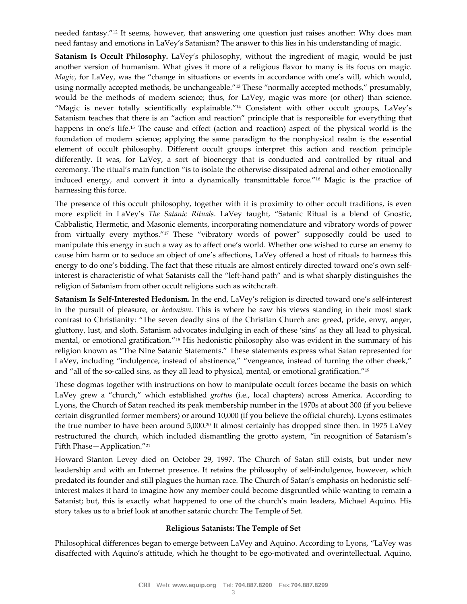needed fantasy."12 It seems, however, that answering one question just raises another: Why does man need fantasy and emotions in LaVey's Satanism? The answer to this lies in his understanding of magic.

**Satanism Is Occult Philosophy.** LaVey's philosophy, without the ingredient of magic, would be just another version of humanism. What gives it more of a religious flavor to many is its focus on magic. *Magic*, for LaVey, was the "change in situations or events in accordance with one's will, which would, using normally accepted methods, be unchangeable."<sup>13</sup> These "normally accepted methods," presumably, would be the methods of modern science; thus, for LaVey, magic was more (or other) than science. "Magic is never totally scientifically explainable."14 Consistent with other occult groups, LaVey's Satanism teaches that there is an "action and reaction" principle that is responsible for everything that happens in one's life.15 The cause and effect (action and reaction) aspect of the physical world is the foundation of modern science; applying the same paradigm to the nonphysical realm is the essential element of occult philosophy. Different occult groups interpret this action and reaction principle differently. It was, for LaVey, a sort of bioenergy that is conducted and controlled by ritual and ceremony. The ritual's main function "is to isolate the otherwise dissipated adrenal and other emotionally induced energy, and convert it into a dynamically transmittable force."16 Magic is the practice of harnessing this force.

The presence of this occult philosophy, together with it is proximity to other occult traditions, is even more explicit in LaVey's *The Satanic Rituals*. LaVey taught, "Satanic Ritual is a blend of Gnostic, Cabbalistic, Hermetic, and Masonic elements, incorporating nomenclature and vibratory words of power from virtually every mythos."17 These "vibratory words of power" supposedly could be used to manipulate this energy in such a way as to affect one's world. Whether one wished to curse an enemy to cause him harm or to seduce an object of one's affections, LaVey offered a host of rituals to harness this energy to do one's bidding. The fact that these rituals are almost entirely directed toward one's own selfinterest is characteristic of what Satanists call the "left-hand path" and is what sharply distinguishes the religion of Satanism from other occult religions such as witchcraft.

**Satanism Is Self‐Interested Hedonism.** In the end, LaVey's religion is directed toward one's self‐interest in the pursuit of pleasure, or *hedonism*. This is where he saw his views standing in their most stark contrast to Christianity: "The seven deadly sins of the Christian Church are: greed, pride, envy, anger, gluttony, lust, and sloth. Satanism advocates indulging in each of these 'sins' as they all lead to physical, mental, or emotional gratification."18 His hedonistic philosophy also was evident in the summary of his religion known as "The Nine Satanic Statements." These statements express what Satan represented for LaVey, including "indulgence, instead of abstinence," "vengeance, instead of turning the other cheek," and "all of the so-called sins, as they all lead to physical, mental, or emotional gratification."<sup>19</sup>

These dogmas together with instructions on how to manipulate occult forces became the basis on which LaVey grew a "church," which established *grottos* (i.e., local chapters) across America. According to Lyons, the Church of Satan reached its peak membership number in the 1970s at about 300 (if you believe certain disgruntled former members) or around 10,000 (if you believe the official church). Lyons estimates the true number to have been around 5,000.20 It almost certainly has dropped since then. In 1975 LaVey restructured the church, which included dismantling the grotto system, "in recognition of Satanism's Fifth Phase—Application."21

Howard Stanton Levey died on October 29, 1997. The Church of Satan still exists, but under new leadership and with an Internet presence. It retains the philosophy of self-indulgence, however, which predated its founder and still plagues the human race. The Church of Satan's emphasis on hedonistic self‐ interest makes it hard to imagine how any member could become disgruntled while wanting to remain a Satanist; but, this is exactly what happened to one of the church's main leaders, Michael Aquino. His story takes us to a brief look at another satanic church: The Temple of Set.

#### **Religious Satanists: The Temple of Set**

Philosophical differences began to emerge between LaVey and Aquino. According to Lyons, "LaVey was disaffected with Aquino's attitude, which he thought to be ego-motivated and overintellectual. Aquino,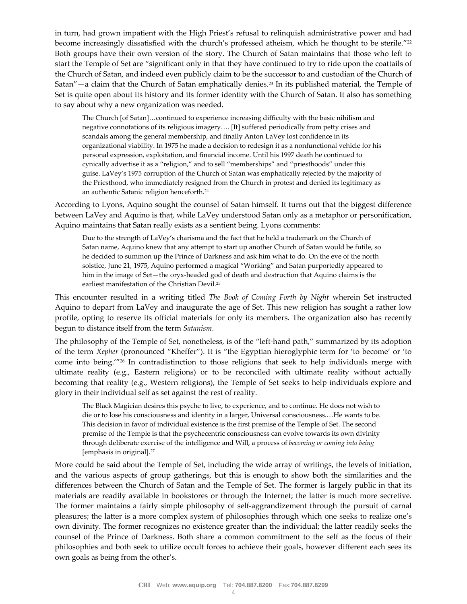in turn, had grown impatient with the High Priest's refusal to relinquish administrative power and had become increasingly dissatisfied with the church's professed atheism, which he thought to be sterile."22 Both groups have their own version of the story. The Church of Satan maintains that those who left to start the Temple of Set are "significant only in that they have continued to try to ride upon the coattails of the Church of Satan, and indeed even publicly claim to be the successor to and custodian of the Church of Satan"—a claim that the Church of Satan emphatically denies.23 In its published material, the Temple of Set is quite open about its history and its former identity with the Church of Satan. It also has something to say about why a new organization was needed.

The Church [of Satan]…continued to experience increasing difficulty with the basic nihilism and negative connotations of its religious imagery…. [It] suffered periodically from petty crises and scandals among the general membership, and finally Anton LaVey lost confidence in its organizational viability. In 1975 he made a decision to redesign it as a nonfunctional vehicle for his personal expression, exploitation, and financial income. Until his 1997 death he continued to cynically advertise it as a "religion," and to sell "memberships" and "priesthoods" under this guise. LaVey's 1975 corruption of the Church of Satan was emphatically rejected by the majority of the Priesthood, who immediately resigned from the Church in protest and denied its legitimacy as an authentic Satanic religion henceforth.<sup>24</sup>

According to Lyons, Aquino sought the counsel of Satan himself. It turns out that the biggest difference between LaVey and Aquino is that, while LaVey understood Satan only as a metaphor or personification, Aquino maintains that Satan really exists as a sentient being. Lyons comments:

Due to the strength of LaVey's charisma and the fact that he held a trademark on the Church of Satan name, Aquino knew that any attempt to start up another Church of Satan would be futile, so he decided to summon up the Prince of Darkness and ask him what to do. On the eve of the north solstice, June 21, 1975, Aquino performed a magical "Working" and Satan purportedly appeared to him in the image of Set—the oryx-headed god of death and destruction that Aquino claims is the earliest manifestation of the Christian Devil.25

This encounter resulted in a writing titled *The Book of Coming Forth by Night* wherein Set instructed Aquino to depart from LaVey and inaugurate the age of Set. This new religion has sought a rather low profile, opting to reserve its official materials for only its members. The organization also has recently begun to distance itself from the term *Satanism*.

The philosophy of the Temple of Set, nonetheless, is of the "left-hand path," summarized by its adoption of the term *Xepher* (pronounced "Kheffer"). It is "the Egyptian hieroglyphic term for 'to become' or 'to come into being.'"26 In contradistinction to those religions that seek to help individuals merge with ultimate reality (e.g., Eastern religions) or to be reconciled with ultimate reality without actually becoming that reality (e.g., Western religions), the Temple of Set seeks to help individuals explore and glory in their individual self as set against the rest of reality.

The Black Magician desires this psyche to live, to experience, and to continue. He does not wish to die or to lose his consciousness and identity in a larger, Universal consciousness.…He wants to be. This decision in favor of individual existence is the first premise of the Temple of Set. The second premise of the Temple is that the psychecentric consciousness can evolve towards its own divinity through deliberate exercise of the intelligence and Will, a process of *becoming or coming into being* [emphasis in original].27

More could be said about the Temple of Set, including the wide array of writings, the levels of initiation, and the various aspects of group gatherings, but this is enough to show both the similarities and the differences between the Church of Satan and the Temple of Set. The former is largely public in that its materials are readily available in bookstores or through the Internet; the latter is much more secretive. The former maintains a fairly simple philosophy of self‐aggrandizement through the pursuit of carnal pleasures; the latter is a more complex system of philosophies through which one seeks to realize one's own divinity. The former recognizes no existence greater than the individual; the latter readily seeks the counsel of the Prince of Darkness. Both share a common commitment to the self as the focus of their philosophies and both seek to utilize occult forces to achieve their goals, however different each sees its own goals as being from the other's.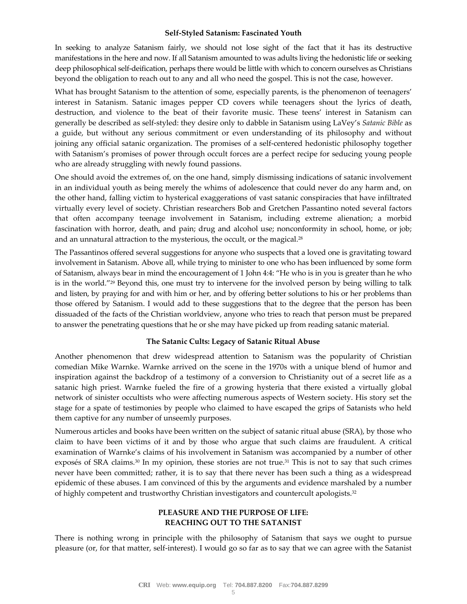#### **Self‐Styled Satanism: Fascinated Youth**

In seeking to analyze Satanism fairly, we should not lose sight of the fact that it has its destructive manifestations in the here and now. If all Satanism amounted to was adults living the hedonistic life or seeking deep philosophical self‐deification, perhaps there would be little with which to concern ourselves as Christians beyond the obligation to reach out to any and all who need the gospel. This is not the case, however.

What has brought Satanism to the attention of some, especially parents, is the phenomenon of teenagers' interest in Satanism. Satanic images pepper CD covers while teenagers shout the lyrics of death, destruction, and violence to the beat of their favorite music. These teens' interest in Satanism can generally be described as self‐styled: they desire only to dabble in Satanism using LaVey's *Satanic Bible* as a guide, but without any serious commitment or even understanding of its philosophy and without joining any official satanic organization. The promises of a self‐centered hedonistic philosophy together with Satanism's promises of power through occult forces are a perfect recipe for seducing young people who are already struggling with newly found passions.

One should avoid the extremes of, on the one hand, simply dismissing indications of satanic involvement in an individual youth as being merely the whims of adolescence that could never do any harm and, on the other hand, falling victim to hysterical exaggerations of vast satanic conspiracies that have infiltrated virtually every level of society. Christian researchers Bob and Gretchen Passantino noted several factors that often accompany teenage involvement in Satanism, including extreme alienation; a morbid fascination with horror, death, and pain; drug and alcohol use; nonconformity in school, home, or job; and an unnatural attraction to the mysterious, the occult, or the magical.<sup>28</sup>

The Passantinos offered several suggestions for anyone who suspects that a loved one is gravitating toward involvement in Satanism. Above all, while trying to minister to one who has been influenced by some form of Satanism, always bear in mind the encouragement of 1 John 4:4: "He who is in you is greater than he who is in the world."29 Beyond this, one must try to intervene for the involved person by being willing to talk and listen, by praying for and with him or her, and by offering better solutions to his or her problems than those offered by Satanism. I would add to these suggestions that to the degree that the person has been dissuaded of the facts of the Christian worldview, anyone who tries to reach that person must be prepared to answer the penetrating questions that he or she may have picked up from reading satanic material.

#### **The Satanic Cults: Legacy of Satanic Ritual Abuse**

Another phenomenon that drew widespread attention to Satanism was the popularity of Christian comedian Mike Warnke. Warnke arrived on the scene in the 1970s with a unique blend of humor and inspiration against the backdrop of a testimony of a conversion to Christianity out of a secret life as a satanic high priest. Warnke fueled the fire of a growing hysteria that there existed a virtually global network of sinister occultists who were affecting numerous aspects of Western society. His story set the stage for a spate of testimonies by people who claimed to have escaped the grips of Satanists who held them captive for any number of unseemly purposes.

Numerous articles and books have been written on the subject of satanic ritual abuse (SRA), by those who claim to have been victims of it and by those who argue that such claims are fraudulent. A critical examination of Warnke's claims of his involvement in Satanism was accompanied by a number of other exposés of SRA claims. $30 \text{ In }$  my opinion, these stories are not true. $31 \text{ This}$  is not to say that such crimes never have been committed; rather, it is to say that there never has been such a thing as a widespread epidemic of these abuses. I am convinced of this by the arguments and evidence marshaled by a number of highly competent and trustworthy Christian investigators and countercult apologists.32

# **PLEASURE AND THE PURPOSE OF LIFE: REACHING OUT TO THE SATANIST**

There is nothing wrong in principle with the philosophy of Satanism that says we ought to pursue pleasure (or, for that matter, self‐interest). I would go so far as to say that we can agree with the Satanist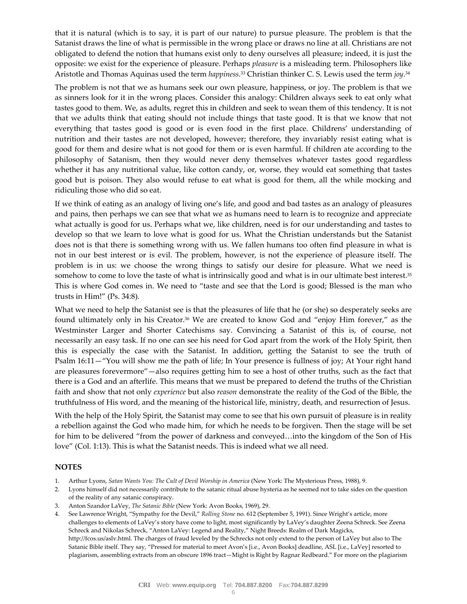that it is natural (which is to say, it is part of our nature) to pursue pleasure. The problem is that the Satanist draws the line of what is permissible in the wrong place or draws no line at all. Christians are not obligated to defend the notion that humans exist only to deny ourselves all pleasure; indeed, it is just the opposite: we exist for the experience of pleasure. Perhaps *pleasure* is a misleading term. Philosophers like Aristotle and Thomas Aquinas used the term *happiness*.33 Christian thinker C. S. Lewis used the term *joy*. 34

The problem is not that we as humans seek our own pleasure, happiness, or joy. The problem is that we as sinners look for it in the wrong places. Consider this analogy: Children always seek to eat only what tastes good to them. We, as adults, regret this in children and seek to wean them of this tendency. It is not that we adults think that eating should not include things that taste good. It is that we know that not everything that tastes good is good or is even food in the first place. Childrens' understanding of nutrition and their tastes are not developed, however; therefore, they invariably resist eating what is good for them and desire what is not good for them or is even harmful. If children ate according to the philosophy of Satanism, then they would never deny themselves whatever tastes good regardless whether it has any nutritional value, like cotton candy, or, worse, they would eat something that tastes good but is poison. They also would refuse to eat what is good for them, all the while mocking and ridiculing those who did so eat.

If we think of eating as an analogy of living one's life, and good and bad tastes as an analogy of pleasures and pains, then perhaps we can see that what we as humans need to learn is to recognize and appreciate what actually is good for us. Perhaps what we, like children, need is for our understanding and tastes to develop so that we learn to love what is good for us. What the Christian understands but the Satanist does not is that there is something wrong with us. We fallen humans too often find pleasure in what is not in our best interest or is evil. The problem, however, is not the experience of pleasure itself. The problem is in us: we choose the wrong things to satisfy our desire for pleasure. What we need is somehow to come to love the taste of what is intrinsically good and what is in our ultimate best interest.<sup>35</sup> This is where God comes in. We need to "taste and see that the Lord is good; Blessed is the man who trusts in Him!" (Ps. 34:8).

What we need to help the Satanist see is that the pleasures of life that he (or she) so desperately seeks are found ultimately only in his Creator.<sup>36</sup> We are created to know God and "enjoy Him forever," as the Westminster Larger and Shorter Catechisms say. Convincing a Satanist of this is, of course, not necessarily an easy task. If no one can see his need for God apart from the work of the Holy Spirit, then this is especially the case with the Satanist. In addition, getting the Satanist to see the truth of Psalm 16:11—"You will show me the path of life; In Your presence is fullness of joy; At Your right hand are pleasures forevermore"—also requires getting him to see a host of other truths, such as the fact that there is a God and an afterlife. This means that we must be prepared to defend the truths of the Christian faith and show that not only *experience* but also *reason* demonstrate the reality of the God of the Bible, the truthfulness of His word, and the meaning of the historical life, ministry, death, and resurrection of Jesus.

With the help of the Holy Spirit, the Satanist may come to see that his own pursuit of pleasure is in reality a rebellion against the God who made him, for which he needs to be forgiven. Then the stage will be set for him to be delivered "from the power of darkness and conveyed…into the kingdom of the Son of His love" (Col. 1:13). This is what the Satanist needs. This is indeed what we all need.

#### **NOTES**

- 1. Arthur Lyons, *Satan Wants You: The Cult of Devil Worship in America* (New York: The Mysterious Press, 1988), 9.
- 2. Lyons himself did not necessarily contribute to the satanic ritual abuse hysteria as he seemed not to take sides on the question of the reality of any satanic conspiracy.
- 3. Anton Szandor LaVey, *The Satanic Bible* (New York: Avon Books, 1969), 29.
- 4. See Lawrence Wright, "Sympathy for the Devil," *Rolling Stone* no. 612 (September 5, 1991). Since Wright's article, more challenges to elements of LaVey's story have come to light, most significantly by LaVey's daughter Zeena Schreck. See Zeena Schreck and Nikolas Schreck, "Anton LaVey: Legend and Reality," Night Breeds: Realm of Dark Magicks, http://fcos.us/aslv.html. The charges of fraud leveled by the Schrecks not only extend to the person of LaVey but also to The Satanic Bible itself. They say, "Pressed for material to meet Avon's [i.e., Avon Books] deadline, ASL [i.e., LaVey] resorted to plagiarism, assembling extracts from an obscure 1896 tract—Might is Right by Ragnar Redbeard." For more on the plagiarism